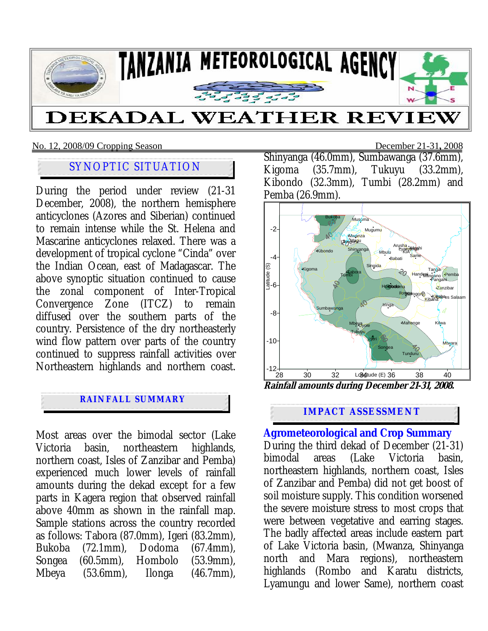

## No. 12, 2008/09 Cropping Season December 21-31**,** 2008

# SYNOPTIC SITUATION

During the period under review (21-31 December, 2008), the northern hemisphere anticyclones (Azores and Siberian) continued to remain intense while the St. Helena and Mascarine anticyclones relaxed. There was a development of tropical cyclone "Cinda" over the Indian Ocean, east of Madagascar. The above synoptic situation continued to cause the zonal component of Inter-Tropical Convergence Zone (ITCZ) to remain diffused over the southern parts of the country. Persistence of the dry northeasterly wind flow pattern over parts of the country continued to suppress rainfall activities over Northeastern highlands and northern coast.

# **RAINFALL SUMMARY**

Most areas over the bimodal sector (Lake Victoria basin, northeastern highlands, northern coast, Isles of Zanzibar and Pemba) experienced much lower levels of rainfall amounts during the dekad except for a few parts in Kagera region that observed rainfall above 40mm as shown in the rainfall map. Sample stations across the country recorded as follows: Tabora (87.0mm), Igeri (83.2mm), Bukoba (72.1mm), Dodoma (67.4mm), Songea (60.5mm), Hombolo (53.9mm), Mbeya (53.6mm), Ilonga (46.7mm),

Shinyanga (46.0mm), Sumbawanga (37.6mm), Kigoma (35.7mm), Tukuyu (33.2mm), Kibondo (32.3mm), Tumbi (28.2mm) and Pemba (26.9mm).



**Rainfall amounts during December 21-31, 2008.** 

## **IMPACT ASSESSMENT**

# **Agrometeorological and Crop Summary**

During the third dekad of December (21-31) bimodal areas (Lake Victoria basin, northeastern highlands, northern coast, Isles of Zanzibar and Pemba) did not get boost of soil moisture supply. This condition worsened the severe moisture stress to most crops that were between vegetative and earring stages. The badly affected areas include eastern part of Lake Victoria basin, (Mwanza, Shinyanga north and Mara regions), northeastern highlands (Rombo and Karatu districts, Lyamungu and lower Same), northern coast